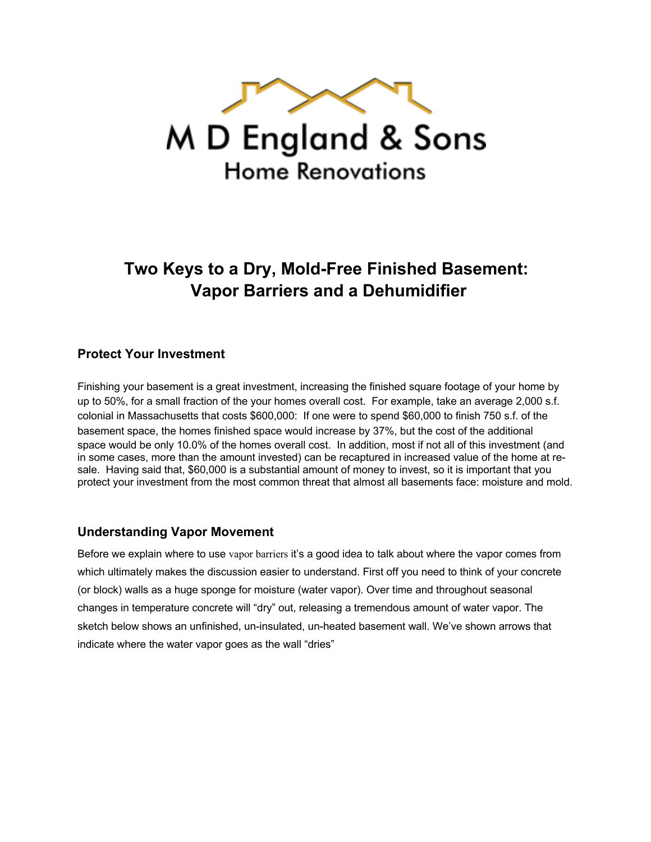

M D England & Sons **Home Renovations** 

# **Two Keys to a Dry, Mold-Free Finished Basement: Vapor Barriers and a Dehumidifier**

#### **Protect Your Investment**

Finishing your basement is a great investment, increasing the finished square footage of your home by up to 50%, for a small fraction of the your homes overall cost. For example, take an average 2,000 s.f. colonial in Massachusetts that costs \$600,000: If one were to spend \$60,000 to finish 750 s.f. of the basement space, the homes finished space would increase by 37%, but the cost of the additional space would be only 10.0% of the homes overall cost. In addition, most if not all of this investment (and in some cases, more than the amount invested) can be recaptured in increased value of the home at resale. Having said that, \$60,000 is a substantial amount of money to invest, so it is important that you protect your investment from the most common threat that almost all basements face: moisture and mold.

#### **Understanding Vapor Movement**

Before we explain where to use vapor barriers it's a good idea to talk about where the vapor comes from which ultimately makes the discussion easier to understand. First off you need to think of your concrete (or block) walls as a huge sponge for moisture (water vapor). Over time and throughout seasonal changes in temperature concrete will "dry" out, releasing a tremendous amount of water vapor. The sketch below shows an unfinished, un-insulated, un-heated basement wall. We've shown arrows that indicate where the water vapor goes as the wall "dries"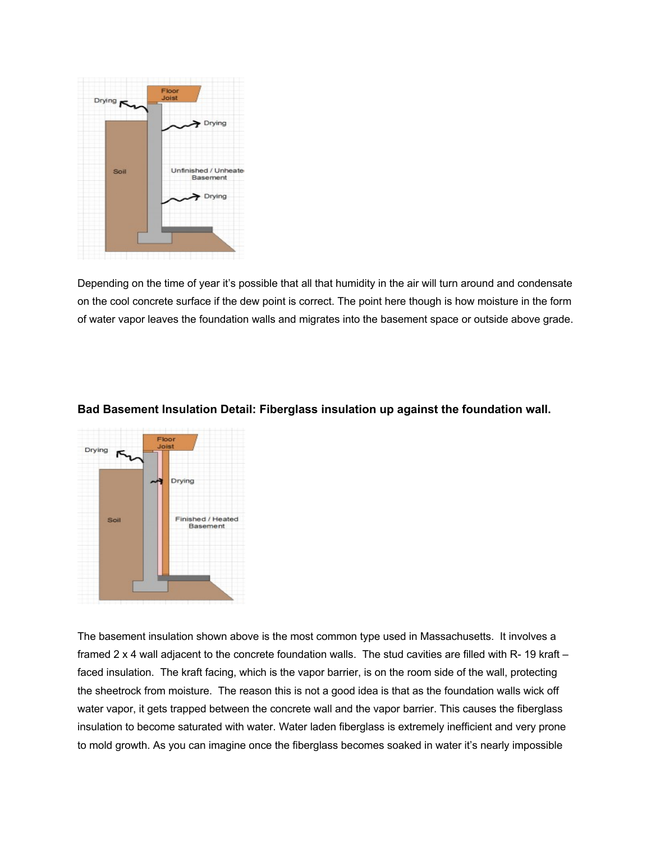

Depending on the time of year it's possible that all that humidity in the air will turn around and condensate on the cool concrete surface if the dew point is correct. The point here though is how moisture in the form of water vapor leaves the foundation walls and migrates into the basement space or outside above grade.



#### **Bad Basement Insulation Detail: Fiberglass insulation up against the foundation wall.**

The basement insulation shown above is the most common type used in Massachusetts. It involves a framed 2 x 4 wall adjacent to the concrete foundation walls. The stud cavities are filled with R- 19 kraft – faced insulation. The kraft facing, which is the vapor barrier, is on the room side of the wall, protecting the sheetrock from moisture. The reason this is not a good idea is that as the foundation walls wick off water vapor, it gets trapped between the concrete wall and the vapor barrier. This causes the fiberglass insulation to become saturated with water. Water laden fiberglass is extremely inefficient and very prone to mold growth. As you can imagine once the fiberglass becomes soaked in water it's nearly impossible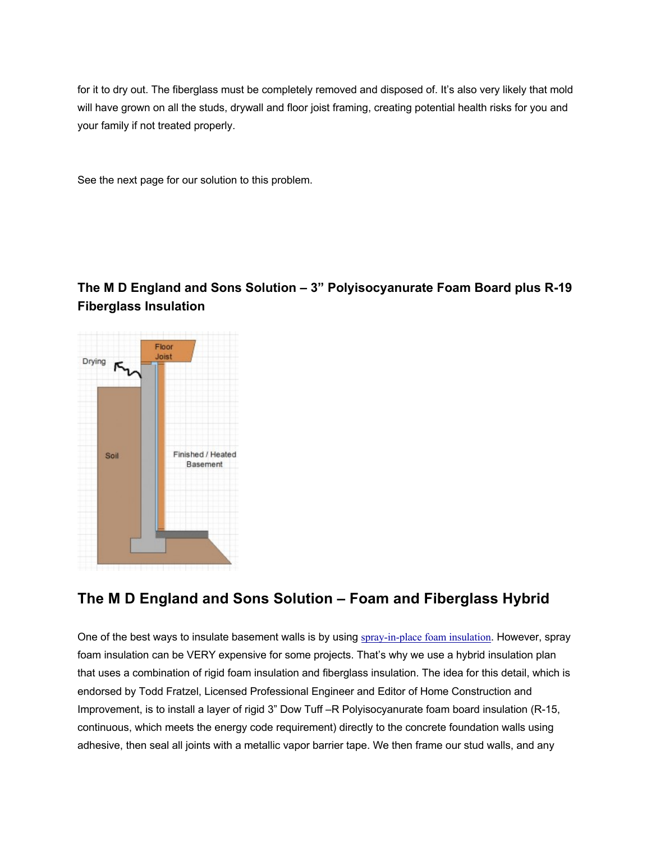for it to dry out. The fiberglass must be completely removed and disposed of. It's also very likely that mold will have grown on all the studs, drywall and floor joist framing, creating potential health risks for you and your family if not treated properly.

See the next page for our solution to this problem.

### **The M D England and Sons Solution – 3" Polyisocyanurate Foam Board plus R-19 Fiberglass Insulation**



## **The M D England and Sons Solution – Foam and Fiberglass Hybrid**

One of the best ways to insulate basement walls is by using spray-in-place foam insulation. However, spray foam insulation can be VERY expensive for some projects. That's why we use a hybrid insulation plan that uses a combination of rigid foam insulation and fiberglass insulation. The idea for this detail, which is endorsed by Todd Fratzel, Licensed Professional Engineer and Editor of Home Construction and Improvement, is to install a layer of rigid 3" Dow Tuff –R Polyisocyanurate foam board insulation (R-15, continuous, which meets the energy code requirement) directly to the concrete foundation walls using adhesive, then seal all joints with a metallic vapor barrier tape. We then frame our stud walls, and any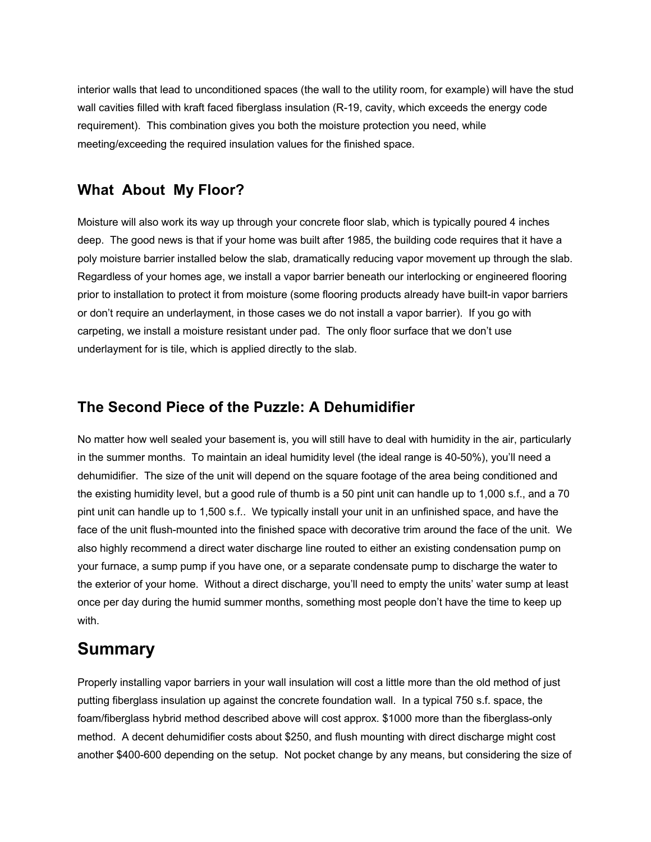interior walls that lead to unconditioned spaces (the wall to the utility room, for example) will have the stud wall cavities filled with kraft faced fiberglass insulation (R-19, cavity, which exceeds the energy code requirement). This combination gives you both the moisture protection you need, while meeting/exceeding the required insulation values for the finished space.

### **What About My Floor?**

Moisture will also work its way up through your concrete floor slab, which is typically poured 4 inches deep. The good news is that if your home was built after 1985, the building code requires that it have a poly moisture barrier installed below the slab, dramatically reducing vapor movement up through the slab. Regardless of your homes age, we install a vapor barrier beneath our interlocking or engineered flooring prior to installation to protect it from moisture (some flooring products already have built-in vapor barriers or don't require an underlayment, in those cases we do not install a vapor barrier). If you go with carpeting, we install a moisture resistant under pad. The only floor surface that we don't use underlayment for is tile, which is applied directly to the slab.

### **The Second Piece of the Puzzle: A Dehumidifier**

No matter how well sealed your basement is, you will still have to deal with humidity in the air, particularly in the summer months. To maintain an ideal humidity level (the ideal range is 40-50%), you'll need a dehumidifier. The size of the unit will depend on the square footage of the area being conditioned and the existing humidity level, but a good rule of thumb is a 50 pint unit can handle up to 1,000 s.f., and a 70 pint unit can handle up to 1,500 s.f.. We typically install your unit in an unfinished space, and have the face of the unit flush-mounted into the finished space with decorative trim around the face of the unit. We also highly recommend a direct water discharge line routed to either an existing condensation pump on your furnace, a sump pump if you have one, or a separate condensate pump to discharge the water to the exterior of your home. Without a direct discharge, you'll need to empty the units' water sump at least once per day during the humid summer months, something most people don't have the time to keep up with.

# **Summary**

Properly installing vapor barriers in your wall insulation will cost a little more than the old method of just putting fiberglass insulation up against the concrete foundation wall. In a typical 750 s.f. space, the foam/fiberglass hybrid method described above will cost approx. \$1000 more than the fiberglass-only method. A decent dehumidifier costs about \$250, and flush mounting with direct discharge might cost another \$400-600 depending on the setup. Not pocket change by any means, but considering the size of